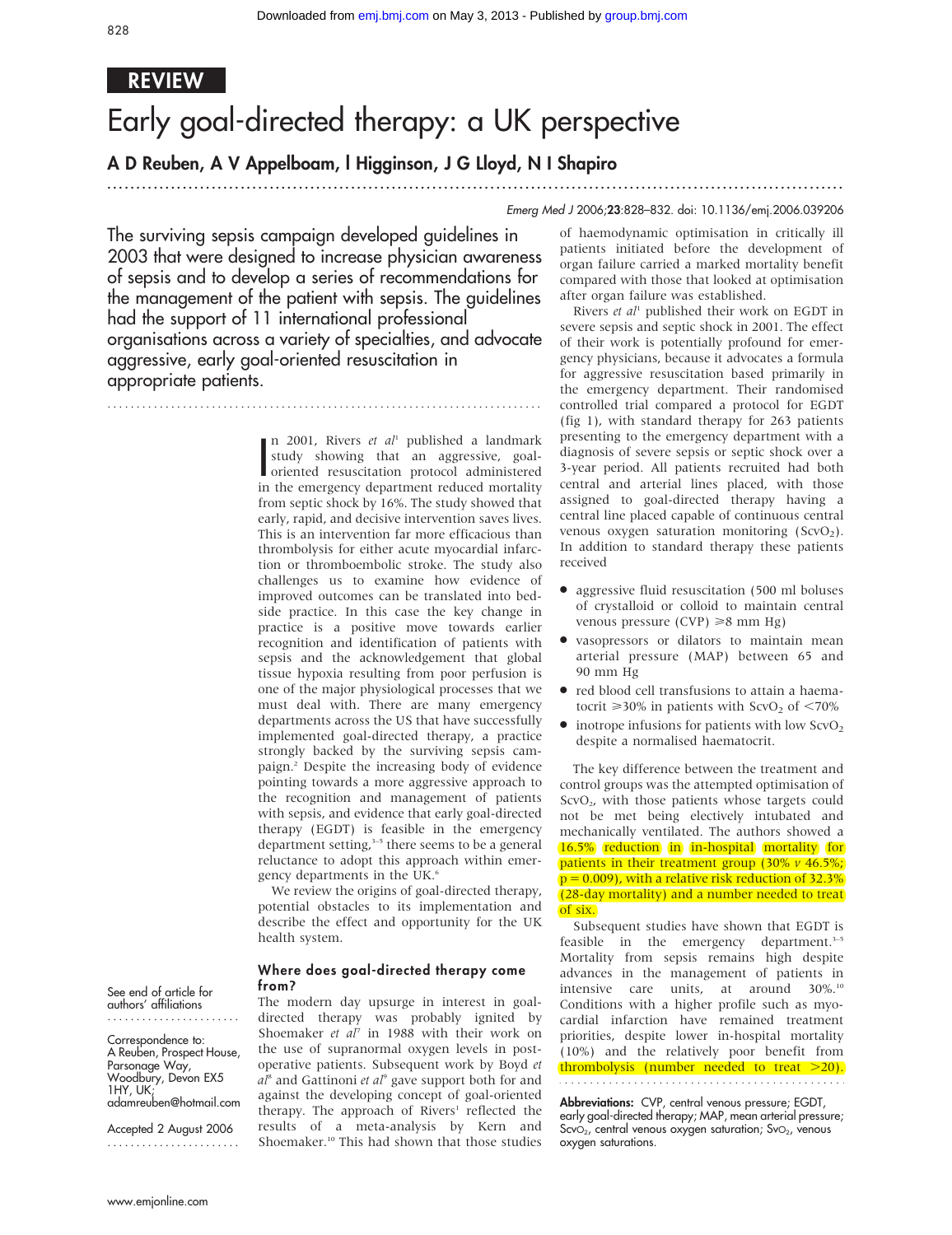# **REVIEW**

# Early goal-directed therapy: a UK perspective

### A D Reuben, A V Appelboam, l Higginson, J G Lloyd, N I Shapiro

### .............................................................................................................................. . Emerg Med J 2006;23:828–832. doi: 10.1136/emj.2006.039206

The surviving sepsis campaign developed guidelines in 2003 that were designed to increase physician awareness of sepsis and to develop a series of recommendations for the management of the patient with sepsis. The guidelines had the support of 11 international professional organisations across a variety of specialties, and advocate aggressive, early goal-oriented resuscitation in appropriate patients.

> In 2001, Rivers *et al'* published a landmark<br>study showing that an aggressive, goal-<br>oriented resuscitation protocol administered<br>in the emergency denartment reduced mortality n 2001, Rivers et al<sup>1</sup> published a landmark oriented resuscitation protocol administered in the emergency department reduced mortality from septic shock by 16%. The study showed that early, rapid, and decisive intervention saves lives. This is an intervention far more efficacious than thrombolysis for either acute myocardial infarction or thromboembolic stroke. The study also challenges us to examine how evidence of improved outcomes can be translated into bedside practice. In this case the key change in practice is a positive move towards earlier recognition and identification of patients with sepsis and the acknowledgement that global tissue hypoxia resulting from poor perfusion is one of the major physiological processes that we must deal with. There are many emergency departments across the US that have successfully implemented goal-directed therapy, a practice strongly backed by the surviving sepsis campaign.2 Despite the increasing body of evidence pointing towards a more aggressive approach to the recognition and management of patients with sepsis, and evidence that early goal-directed therapy (EGDT) is feasible in the emergency department setting, $3-5$  there seems to be a general reluctance to adopt this approach within emergency departments in the UK.<sup>6</sup>

...........................................................................

We review the origins of goal-directed therapy, potential obstacles to its implementation and describe the effect and opportunity for the UK health system.

#### Where does goal-directed therapy come from?

The modern day upsurge in interest in goaldirected therapy was probably ignited by Shoemaker et  $a^{\dagger}$  in 1988 with their work on the use of supranormal oxygen levels in postoperative patients. Subsequent work by Boyd et  $al^8$  and Gattinoni et  $al^9$  gave support both for and against the developing concept of goal-oriented therapy. The approach of  $Rivers<sup>1</sup>$  reflected the results of a meta-analysis by Kern and Shoemaker.<sup>10</sup> This had shown that those studies of haemodynamic optimisation in critically ill patients initiated before the development of organ failure carried a marked mortality benefit compared with those that looked at optimisation after organ failure was established.

Rivers et  $al<sup>1</sup>$  published their work on EGDT in severe sepsis and septic shock in 2001. The effect of their work is potentially profound for emergency physicians, because it advocates a formula for aggressive resuscitation based primarily in the emergency department. Their randomised controlled trial compared a protocol for EGDT (fig 1), with standard therapy for 263 patients presenting to the emergency department with a diagnosis of severe sepsis or septic shock over a 3-year period. All patients recruited had both central and arterial lines placed, with those assigned to goal-directed therapy having a central line placed capable of continuous central venous oxygen saturation monitoring  $(ScvO<sub>2</sub>)$ . In addition to standard therapy these patients received

- aggressive fluid resuscitation (500 ml boluses of crystalloid or colloid to maintain central venous pressure (CVP)  $\geq 8$  mm Hg)
- $\bullet$  vasopressors or dilators to maintain mean arterial pressure (MAP) between 65 and 90 mm Hg
- red blood cell transfusions to attain a haematocrit  $\geq 30\%$  in patients with ScvO<sub>2</sub> of  $\leq 70\%$
- $\bullet$  inotrope infusions for patients with low ScvO<sub>2</sub> despite a normalised haematocrit.

The key difference between the treatment and control groups was the attempted optimisation of ScvO2, with those patients whose targets could not be met being electively intubated and mechanically ventilated. The authors showed a 16.5% reduction in in-hospital mortality for patients in their treatment group (30% v 46.5%;  $p = 0.009$ , with a relative risk reduction of 32.3% (28-day mortality) and a number needed to treat of six.

Subsequent studies have shown that EGDT is feasible in the emergency department.<sup>3-5</sup> Mortality from sepsis remains high despite advances in the management of patients in intensive care units, at around 30%.<sup>10</sup> Conditions with a higher profile such as myocardial infarction have remained treatment priorities, despite lower in-hospital mortality (10%) and the relatively poor benefit from thrombolysis (number needed to treat  $>20$ ). 

Abbreviations: CVP, central venous pressure; EGDT, early goal-directed therapy; MAP, mean arterial pressure; ScvO<sub>2</sub>, central venous oxygen saturation; SvO<sub>2</sub>, venous oxygen saturations.

See end of article for authors' affiliations .......................

Correspondence to: A Reuben, Prospect House, Parsonage Way, Woodbury, Devon EX5 1HY, UK; adamreuben@hotmail.com

Accepted 2 August 2006 .......................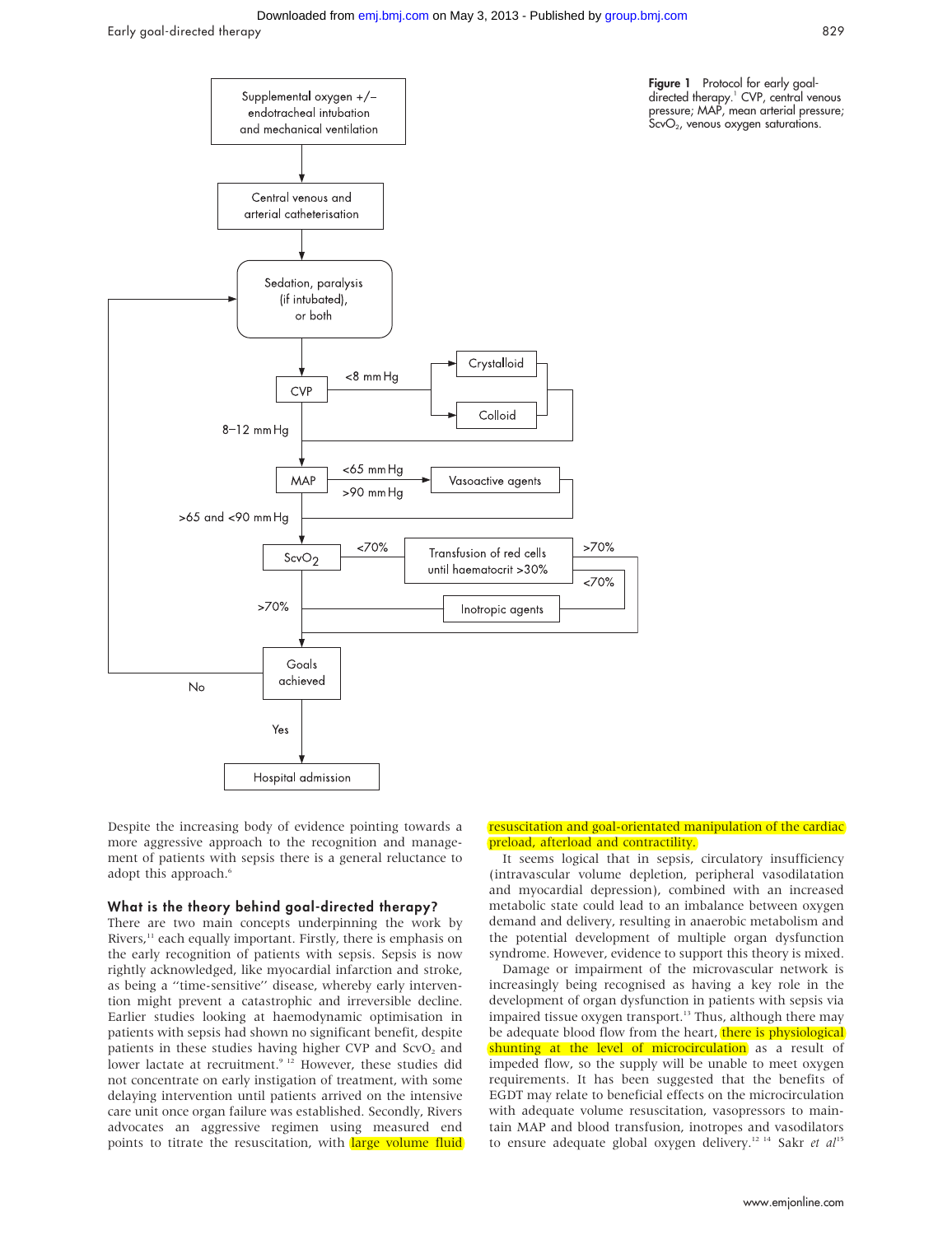Early goal-directed therapy 829



Despite the increasing body of evidence pointing towards a more aggressive approach to the recognition and management of patients with sepsis there is a general reluctance to adopt this approach.<sup>6</sup>

#### What is the theory behind goal-directed therapy?

There are two main concepts underpinning the work by Rivers, $11$  each equally important. Firstly, there is emphasis on the early recognition of patients with sepsis. Sepsis is now rightly acknowledged, like myocardial infarction and stroke, as being a ''time-sensitive'' disease, whereby early intervention might prevent a catastrophic and irreversible decline. Earlier studies looking at haemodynamic optimisation in patients with sepsis had shown no significant benefit, despite patients in these studies having higher CVP and ScvO<sub>2</sub> and lower lactate at recruitment.<sup>9 12</sup> However, these studies did not concentrate on early instigation of treatment, with some delaying intervention until patients arrived on the intensive care unit once organ failure was established. Secondly, Rivers advocates an aggressive regimen using measured end points to titrate the resuscitation, with large volume fluid

#### resuscitation and goal-orientated manipulation of the cardiac preload, afterload and contractility.

It seems logical that in sepsis, circulatory insufficiency (intravascular volume depletion, peripheral vasodilatation and myocardial depression), combined with an increased metabolic state could lead to an imbalance between oxygen demand and delivery, resulting in anaerobic metabolism and the potential development of multiple organ dysfunction syndrome. However, evidence to support this theory is mixed.

Damage or impairment of the microvascular network is increasingly being recognised as having a key role in the development of organ dysfunction in patients with sepsis via impaired tissue oxygen transport.<sup>13</sup> Thus, although there may be adequate blood flow from the heart, there is physiological shunting at the level of microcirculation as a result of impeded flow, so the supply will be unable to meet oxygen requirements. It has been suggested that the benefits of EGDT may relate to beneficial effects on the microcirculation with adequate volume resuscitation, vasopressors to maintain MAP and blood transfusion, inotropes and vasodilators to ensure adequate global oxygen delivery.<sup>12 14</sup> Sakr et al<sup>15</sup>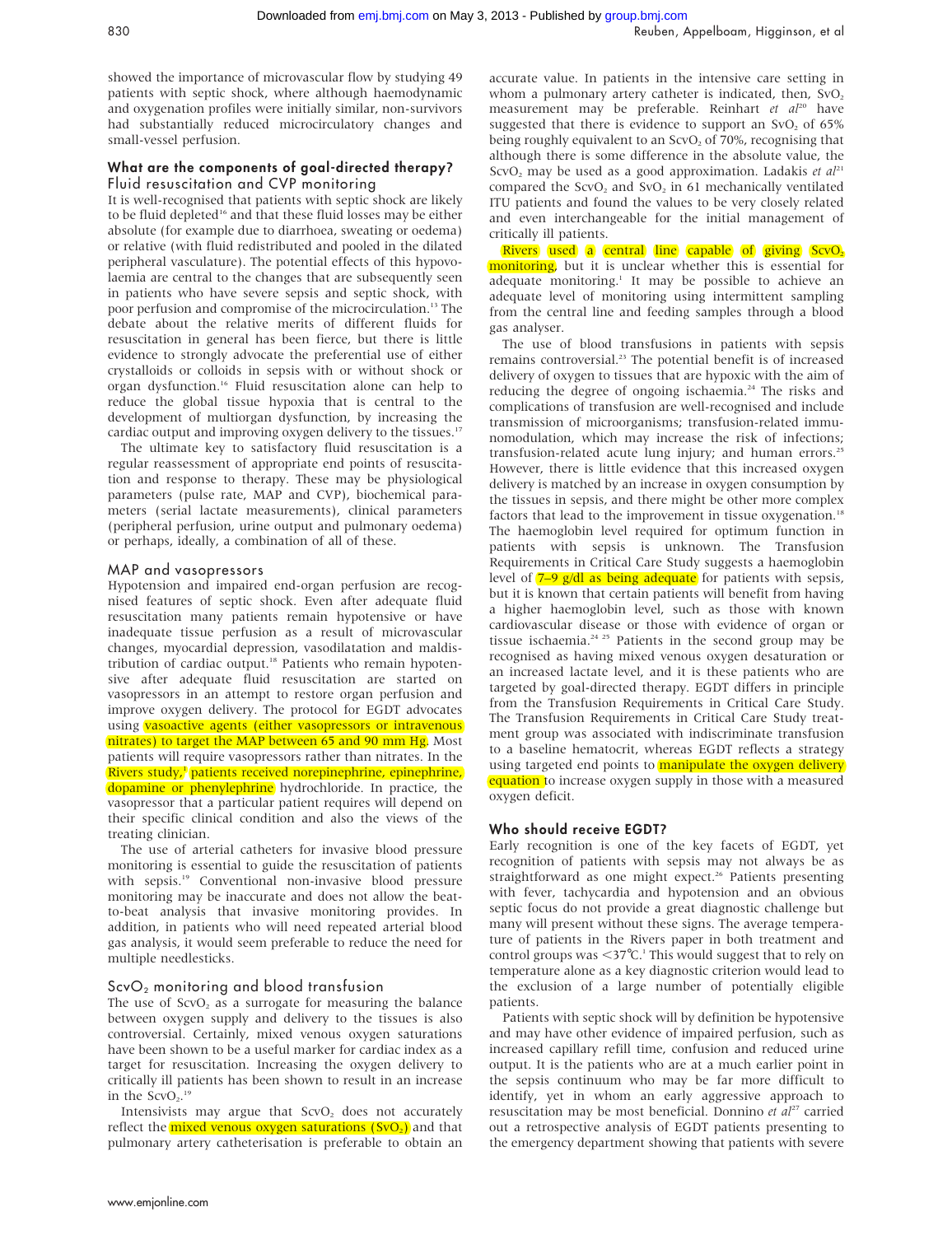showed the importance of microvascular flow by studying 49 patients with septic shock, where although haemodynamic and oxygenation profiles were initially similar, non-survivors had substantially reduced microcirculatory changes and small-vessel perfusion.

#### What are the components of goal-directed therapy? Fluid resuscitation and CVP monitoring

It is well-recognised that patients with septic shock are likely to be fluid depleted<sup>16</sup> and that these fluid losses may be either absolute (for example due to diarrhoea, sweating or oedema) or relative (with fluid redistributed and pooled in the dilated peripheral vasculature). The potential effects of this hypovolaemia are central to the changes that are subsequently seen in patients who have severe sepsis and septic shock, with poor perfusion and compromise of the microcirculation.13 The debate about the relative merits of different fluids for resuscitation in general has been fierce, but there is little evidence to strongly advocate the preferential use of either crystalloids or colloids in sepsis with or without shock or organ dysfunction.16 Fluid resuscitation alone can help to reduce the global tissue hypoxia that is central to the development of multiorgan dysfunction, by increasing the cardiac output and improving oxygen delivery to the tissues.<sup>17</sup>

The ultimate key to satisfactory fluid resuscitation is a regular reassessment of appropriate end points of resuscitation and response to therapy. These may be physiological parameters (pulse rate, MAP and CVP), biochemical parameters (serial lactate measurements), clinical parameters (peripheral perfusion, urine output and pulmonary oedema) or perhaps, ideally, a combination of all of these.

#### MAP and vasopressors

Hypotension and impaired end-organ perfusion are recognised features of septic shock. Even after adequate fluid resuscitation many patients remain hypotensive or have inadequate tissue perfusion as a result of microvascular changes, myocardial depression, vasodilatation and maldistribution of cardiac output.<sup>18</sup> Patients who remain hypotensive after adequate fluid resuscitation are started on vasopressors in an attempt to restore organ perfusion and improve oxygen delivery. The protocol for EGDT advocates using vasoactive agents (either vasopressors or intravenous nitrates) to target the MAP between 65 and 90 mm Hg. Most patients will require vasopressors rather than nitrates. In the Rivers study,<sup>1</sup> patients received norepinephrine, epinephrine, dopamine or phenylephrine hydrochloride. In practice, the vasopressor that a particular patient requires will depend on their specific clinical condition and also the views of the treating clinician.

The use of arterial catheters for invasive blood pressure monitoring is essential to guide the resuscitation of patients with sepsis.<sup>19</sup> Conventional non-invasive blood pressure monitoring may be inaccurate and does not allow the beatto-beat analysis that invasive monitoring provides. In addition, in patients who will need repeated arterial blood gas analysis, it would seem preferable to reduce the need for multiple needlesticks.

#### ScvO<sub>2</sub> monitoring and blood transfusion

The use of  $ScvO<sub>2</sub>$  as a surrogate for measuring the balance between oxygen supply and delivery to the tissues is also controversial. Certainly, mixed venous oxygen saturations have been shown to be a useful marker for cardiac index as a target for resuscitation. Increasing the oxygen delivery to critically ill patients has been shown to result in an increase in the  $ScvO<sub>2</sub>$ .<sup>19</sup>

Intensivists may argue that ScvO<sub>2</sub> does not accurately reflect the **mixed venous oxygen saturations (SvO<sub>2</sub>)** and that pulmonary artery catheterisation is preferable to obtain an accurate value. In patients in the intensive care setting in whom a pulmonary artery catheter is indicated, then,  $SvO<sub>2</sub>$ measurement may be preferable. Reinhart et  $al^{20}$  have suggested that there is evidence to support an  $SvO<sub>2</sub>$  of 65% being roughly equivalent to an  $S$ cvO<sub>2</sub> of 70%, recognising that although there is some difference in the absolute value, the ScvO<sub>2</sub> may be used as a good approximation. Ladakis et  $aI^{21}$ compared the ScvO<sub>2</sub> and SvO<sub>2</sub> in 61 mechanically ventilated ITU patients and found the values to be very closely related and even interchangeable for the initial management of critically ill patients.

Rivers used a central line capable of giving  $ScvO<sub>2</sub>$ monitoring, but it is unclear whether this is essential for adequate monitoring.<sup>1</sup> It may be possible to achieve an adequate level of monitoring using intermittent sampling from the central line and feeding samples through a blood gas analyser.

The use of blood transfusions in patients with sepsis remains controversial.23 The potential benefit is of increased delivery of oxygen to tissues that are hypoxic with the aim of reducing the degree of ongoing ischaemia.<sup>24</sup> The risks and complications of transfusion are well-recognised and include transmission of microorganisms; transfusion-related immunomodulation, which may increase the risk of infections; transfusion-related acute lung injury; and human errors.<sup>25</sup> However, there is little evidence that this increased oxygen delivery is matched by an increase in oxygen consumption by the tissues in sepsis, and there might be other more complex factors that lead to the improvement in tissue oxygenation.<sup>18</sup> The haemoglobin level required for optimum function in patients with sepsis is unknown. The Transfusion Requirements in Critical Care Study suggests a haemoglobin level of  $7-9$  g/dl as being adequate for patients with sepsis, but it is known that certain patients will benefit from having a higher haemoglobin level, such as those with known cardiovascular disease or those with evidence of organ or tissue ischaemia.<sup>24-25</sup> Patients in the second group may be recognised as having mixed venous oxygen desaturation or an increased lactate level, and it is these patients who are targeted by goal-directed therapy. EGDT differs in principle from the Transfusion Requirements in Critical Care Study. The Transfusion Requirements in Critical Care Study treatment group was associated with indiscriminate transfusion to a baseline hematocrit, whereas EGDT reflects a strategy using targeted end points to manipulate the oxygen delivery equation to increase oxygen supply in those with a measured oxygen deficit.

#### Who should receive EGDT?

Early recognition is one of the key facets of EGDT, yet recognition of patients with sepsis may not always be as straightforward as one might expect.<sup>26</sup> Patients presenting with fever, tachycardia and hypotension and an obvious septic focus do not provide a great diagnostic challenge but many will present without these signs. The average temperature of patients in the Rivers paper in both treatment and control groups was  $\leq$ 37°C.<sup>1</sup> This would suggest that to rely on temperature alone as a key diagnostic criterion would lead to the exclusion of a large number of potentially eligible patients.

Patients with septic shock will by definition be hypotensive and may have other evidence of impaired perfusion, such as increased capillary refill time, confusion and reduced urine output. It is the patients who are at a much earlier point in the sepsis continuum who may be far more difficult to identify, yet in whom an early aggressive approach to resuscitation may be most beneficial. Donnino et  $al^{27}$  carried out a retrospective analysis of EGDT patients presenting to the emergency department showing that patients with severe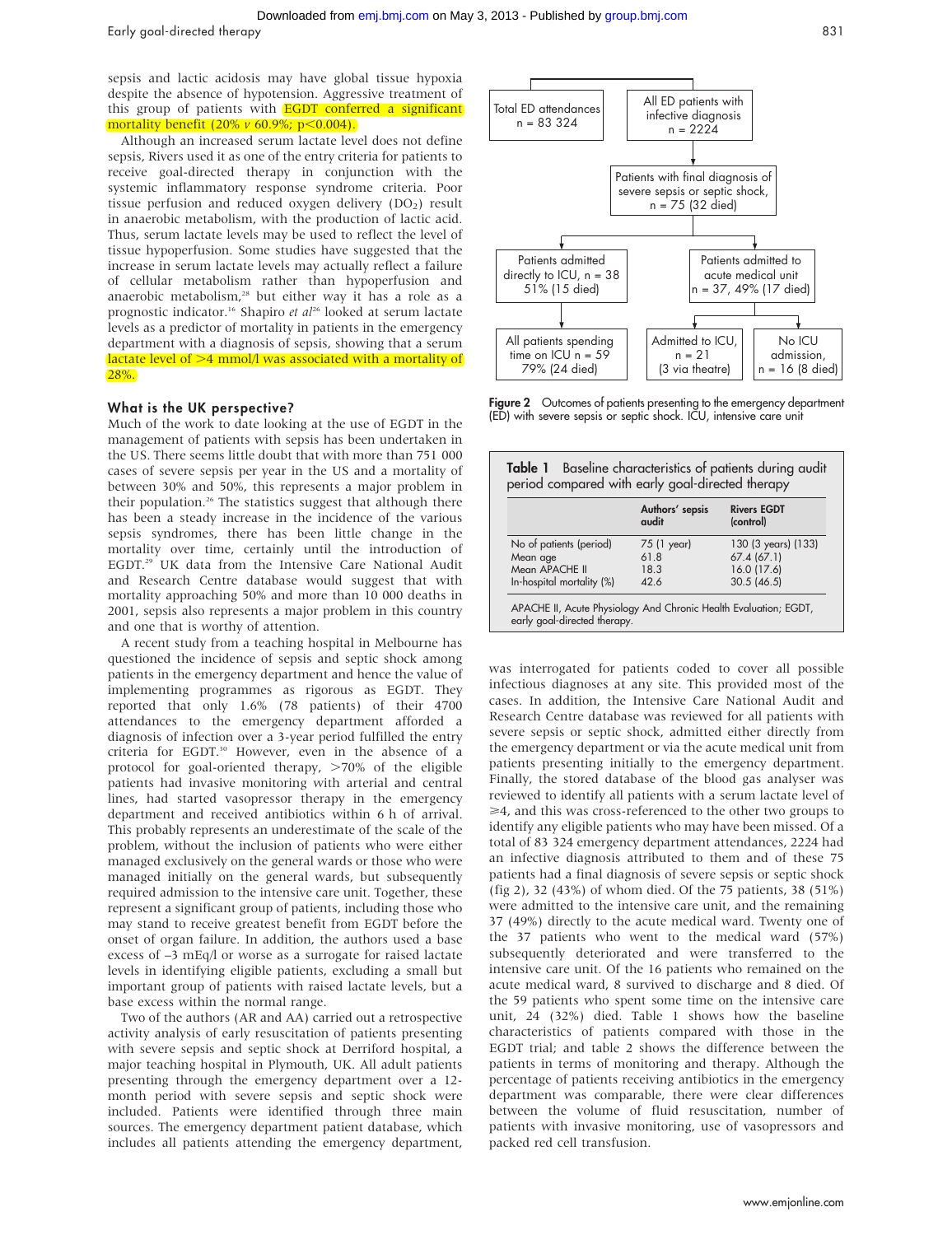sepsis and lactic acidosis may have global tissue hypoxia despite the absence of hypotension. Aggressive treatment of this group of patients with **EGDT** conferred a significant mortality benefit  $(20\% \nu 60.9\%; p<0.004)$ .

Although an increased serum lactate level does not define sepsis, Rivers used it as one of the entry criteria for patients to receive goal-directed therapy in conjunction with the systemic inflammatory response syndrome criteria. Poor tissue perfusion and reduced oxygen delivery  $(DO<sub>2</sub>)$  result in anaerobic metabolism, with the production of lactic acid. Thus, serum lactate levels may be used to reflect the level of tissue hypoperfusion. Some studies have suggested that the increase in serum lactate levels may actually reflect a failure of cellular metabolism rather than hypoperfusion and anaerobic metabolism,<sup>28</sup> but either way it has a role as a prognostic indicator.<sup>16</sup> Shapiro et al<sup>26</sup> looked at serum lactate levels as a predictor of mortality in patients in the emergency department with a diagnosis of sepsis, showing that a serum lactate level of  $>4$  mmol/l was associated with a mortality of 28%.

#### What is the UK perspective?

Much of the work to date looking at the use of EGDT in the management of patients with sepsis has been undertaken in the US. There seems little doubt that with more than 751 000 cases of severe sepsis per year in the US and a mortality of between 30% and 50%, this represents a major problem in their population.<sup>26</sup> The statistics suggest that although there has been a steady increase in the incidence of the various sepsis syndromes, there has been little change in the mortality over time, certainly until the introduction of EGDT.<sup>29</sup> UK data from the Intensive Care National Audit and Research Centre database would suggest that with mortality approaching 50% and more than 10 000 deaths in 2001, sepsis also represents a major problem in this country and one that is worthy of attention.

A recent study from a teaching hospital in Melbourne has questioned the incidence of sepsis and septic shock among patients in the emergency department and hence the value of implementing programmes as rigorous as EGDT. They reported that only 1.6% (78 patients) of their 4700 attendances to the emergency department afforded a diagnosis of infection over a 3-year period fulfilled the entry criteria for EGDT.<sup>30</sup> However, even in the absence of a protocol for goal-oriented therapy,  $>70\%$  of the eligible patients had invasive monitoring with arterial and central lines, had started vasopressor therapy in the emergency department and received antibiotics within 6 h of arrival. This probably represents an underestimate of the scale of the problem, without the inclusion of patients who were either managed exclusively on the general wards or those who were managed initially on the general wards, but subsequently required admission to the intensive care unit. Together, these represent a significant group of patients, including those who may stand to receive greatest benefit from EGDT before the onset of organ failure. In addition, the authors used a base excess of –3 mEq/l or worse as a surrogate for raised lactate levels in identifying eligible patients, excluding a small but important group of patients with raised lactate levels, but a base excess within the normal range.

Two of the authors (AR and AA) carried out a retrospective activity analysis of early resuscitation of patients presenting with severe sepsis and septic shock at Derriford hospital, a major teaching hospital in Plymouth, UK. All adult patients presenting through the emergency department over a 12 month period with severe sepsis and septic shock were included. Patients were identified through three main sources. The emergency department patient database, which includes all patients attending the emergency department,



Figure 2 Outcomes of patients presenting to the emergency department (ED) with severe sepsis or septic shock. ICU, intensive care unit

|                           | Authors' sepsis | <b>Rivers EGDT</b>  |
|---------------------------|-----------------|---------------------|
|                           | dudit           | (control)           |
| No of patients (period)   | 75 (1 year)     | 130 (3 years) (133) |
| Mean age                  | 61.8            | 67.4(67.1)          |
| Mean APACHE II            | 18.3            | 16.0 (17.6)         |
| In-hospital mortality (%) | 426             | 30.5(46.5)          |

was interrogated for patients coded to cover all possible infectious diagnoses at any site. This provided most of the cases. In addition, the Intensive Care National Audit and Research Centre database was reviewed for all patients with severe sepsis or septic shock, admitted either directly from the emergency department or via the acute medical unit from patients presenting initially to the emergency department. Finally, the stored database of the blood gas analyser was reviewed to identify all patients with a serum lactate level of  $\geq 4$ , and this was cross-referenced to the other two groups to identify any eligible patients who may have been missed. Of a total of 83 324 emergency department attendances, 2224 had an infective diagnosis attributed to them and of these 75 patients had a final diagnosis of severe sepsis or septic shock (fig 2), 32 (43%) of whom died. Of the 75 patients, 38 (51%) were admitted to the intensive care unit, and the remaining 37 (49%) directly to the acute medical ward. Twenty one of the 37 patients who went to the medical ward (57%) subsequently deteriorated and were transferred to the intensive care unit. Of the 16 patients who remained on the acute medical ward, 8 survived to discharge and 8 died. Of the 59 patients who spent some time on the intensive care unit, 24 (32%) died. Table 1 shows how the baseline characteristics of patients compared with those in the EGDT trial; and table 2 shows the difference between the patients in terms of monitoring and therapy. Although the percentage of patients receiving antibiotics in the emergency department was comparable, there were clear differences between the volume of fluid resuscitation, number of patients with invasive monitoring, use of vasopressors and packed red cell transfusion.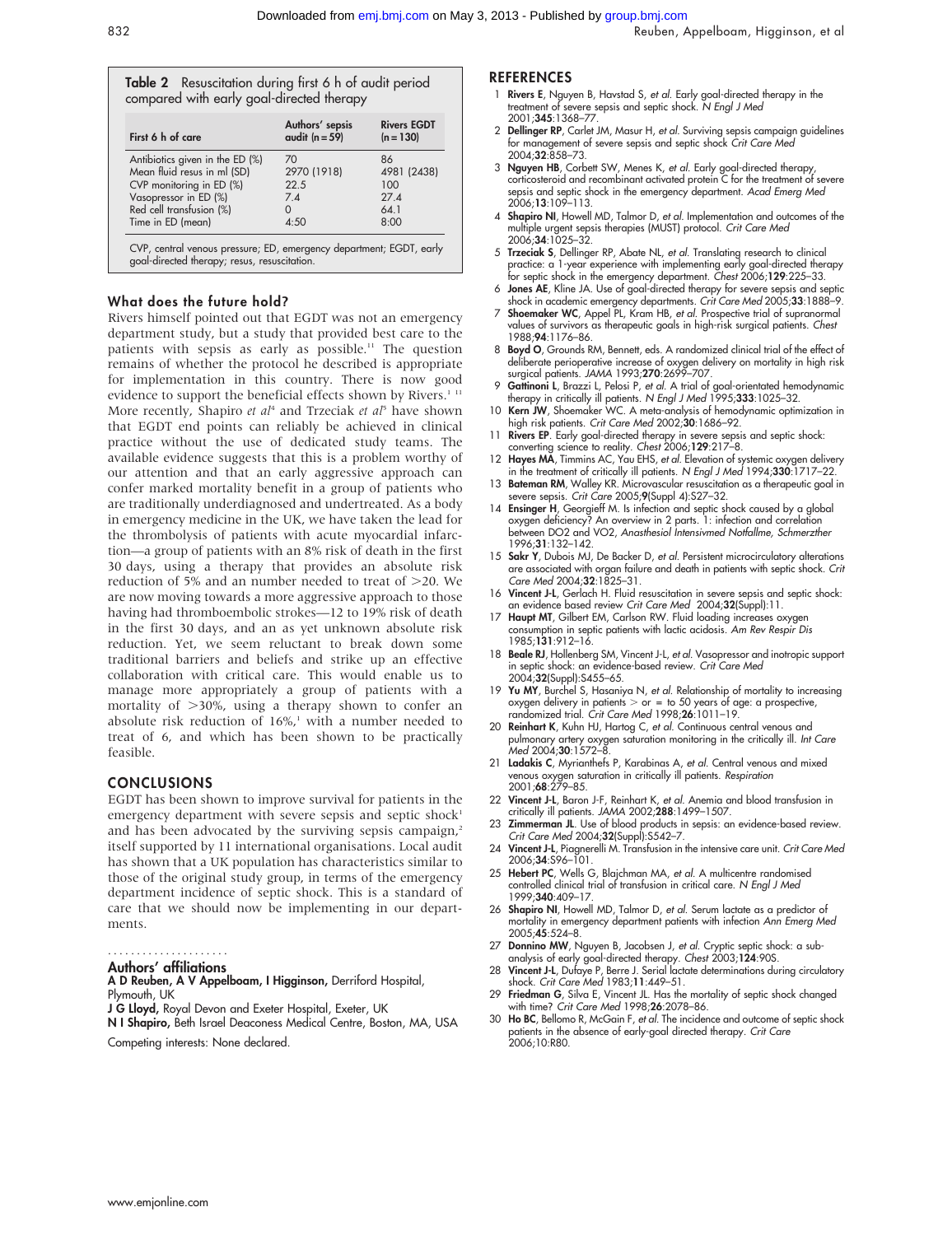Table 2 Resuscitation during first 6 h of audit period compared with early goal-directed therapy

| First 6 h of care               | Authors' sepsis<br>audit ( $n = 59$ ) | <b>Rivers EGDT</b><br>$(n = 130)$ |
|---------------------------------|---------------------------------------|-----------------------------------|
| Antibiotics given in the ED (%) | 70                                    | 86                                |
| Mean fluid resus in ml (SD)     | 2970 (1918)                           | 4981 (2438)                       |
| CVP monitoring in ED (%)        | 22.5                                  | 100                               |
| Vasopressor in ED (%)           | 7.4                                   | 27.4                              |
| Red cell transfusion (%)        |                                       | 64.1                              |
| Time in ED (mean)               | 4:50                                  | 8:00                              |

goal-directed therapy; resus, resuscitation.

#### What does the future hold?

Rivers himself pointed out that EGDT was not an emergency department study, but a study that provided best care to the patients with sepsis as early as possible.<sup>11</sup> The question remains of whether the protocol he described is appropriate for implementation in this country. There is now good evidence to support the beneficial effects shown by Rivers.<sup>1 11</sup> More recently, Shapiro et  $al<sup>4</sup>$  and Trzeciak et  $al<sup>5</sup>$  have shown that EGDT end points can reliably be achieved in clinical practice without the use of dedicated study teams. The available evidence suggests that this is a problem worthy of our attention and that an early aggressive approach can confer marked mortality benefit in a group of patients who are traditionally underdiagnosed and undertreated. As a body in emergency medicine in the UK, we have taken the lead for the thrombolysis of patients with acute myocardial infarction—a group of patients with an 8% risk of death in the first 30 days, using a therapy that provides an absolute risk reduction of 5% and an number needed to treat of  $>$ 20. We are now moving towards a more aggressive approach to those having had thromboembolic strokes—12 to 19% risk of death in the first 30 days, and an as yet unknown absolute risk reduction. Yet, we seem reluctant to break down some traditional barriers and beliefs and strike up an effective collaboration with critical care. This would enable us to manage more appropriately a group of patients with a mortality of  $>30\%$ , using a therapy shown to confer an absolute risk reduction of  $16\%$ ,<sup>1</sup> with a number needed to treat of 6, and which has been shown to be practically feasible.

#### CONCLUSIONS

EGDT has been shown to improve survival for patients in the emergency department with severe sepsis and septic shock<sup>1</sup> and has been advocated by the surviving sepsis campaign, $2$ itself supported by 11 international organisations. Local audit has shown that a UK population has characteristics similar to those of the original study group, in terms of the emergency department incidence of septic shock. This is a standard of care that we should now be implementing in our departments.

#### Authors' affiliations .....................

A D Reuben, A V Appelboam, I Higginson, Derriford Hospital, Plymouth, UK

J G Lloyd, Royal Devon and Exeter Hospital, Exeter, UK

N I Shapiro, Beth Israel Deaconess Medical Centre, Boston, MA, USA Competing interests: None declared.

**REFERENCES** 

- 1 **Rivers E**, Nguyen B, Havstad S, *et al.* Early goal-directed therapy in the treatment of severe sepsis and septic shock. N Engl J Med 2001;345:1368–77. 2 Dellinger RP, Carlet JM, Masur H, et al. Surviving sepsis campaign guidelines for management of severe sepsis and septic shock Crit Care Med
- 2004;32:858–73. 3 Nguyen HB, Corbett SW, Menes K, et al. Early goal-directed therapy, corticosteroid and recombinant activated protein C for the treatment of severe
- sepsis and septic shock in the emergency department. *Acad Emerg Mec*<br>2006;**13**:109–113. 4 Shapiro NI, Howell MD, Talmor D, et al. Implementation and outcomes of the multiple urgent sepsis therapies (MUST) protocol. *Crit Care Mec*<br>2006;**34**:1025–32.
- 5 Trzeciak S, Dellinger RP, Abate NL, et al. Translating research to clinical practice: a 1-year experience with implementing early goal-directed therapy for septic shock in the emergency department. Chest 2006;129:225–33.
- 6 Jones AE, Kline JA. Use of goal-directed therapy for severe sepsis and septic shock in academic emergency departments. Crit Care Med 2005;33:1888–9.
- 7 **Shoemaker WC**, Appel PL, Kram HB, et al. Prospective trial of supranormal values of survivors as therapeutic goals in high-risk surgical patients. Chest 1988;94:1176–86.
- 8 Boyd O, Grounds RM, Bennett, eds. A randomized clinical trial of the effect of deliberate perioperative increase of oxygen delivery on mortality in high risk surgical patients. JAMA 1993;270:2699-707.
- 9 Gattinoni L, Brazzi L, Pelosi P, et al. A trial of goal-orientated hemodynamic therapy in critically ill patients. N Engl J Med 1995;333:1025–32.
- 10 Kern JW, Shoemaker WC. A meta-analysis of hemodynamic optimization in high risk patients. Crit Care Med 2002;30:1686-92.
- 11 Rivers EP. Early goal-directed therapy in severe sepsis and septic shock: converting science to reality. Chest 2006;129:217–8.
- 12 Hayes MA, Timmins AC, Yau EHS, et al. Elevation of systemic oxygen delivery in the treatment of critically ill patients. N Engl J Med 1994;330:1717-22.
- 13 Bateman RM, Walley KR. Microvascular resuscitation as a therapeutic goal in severe sepsis. Crit Care 2005;9(Suppl 4):S27–32.
- 14 Ensinger H, Georgieff M. Is infection and septic shock caused by a global oxygen deficiency? An overview in 2 parts. 1: infection and correlation between DO2 and VO2, Anasthesiol Intensivmed Notfallme, Schmerzther 1996;31:132–142.
- 15 Sakr Y, Dubois MJ, De Backer D, et al. Persistent microcirculatory alterations are associated with organ failure and death in patients with septic shock. Crit Care Med 2004;32:1825–31.
- 16 Vincent J-L, Gerlach H. Fluid resuscitation in severe sepsis and septic shock: an evidence based review Crit Care Med 2004;32(Suppl):11.
- 17 Haupt MT, Gilbert EM, Carlson RW. Fluid loading increases oxygen consumption in septic patients with lactic acidosis. Am Rev Respir Dis 1985;131:912–16.
- 18 Beale RJ, Hollenberg SM, Vincent J-L, et al. Vasopressor and inotropic support in septic shock: an evidence-based review. Crit Care Med 2004;32(Suppl):S455–65.
- 19 Yu MY, Burchel S, Hasaniya N, et al. Relationship of mortality to increasing oxygen delivery in patients  $>$  or = to 50 years of age: a prospective, randomized trial. Crit Care Med 1998;26:1011–19.
- 20 Reinhart K, Kuhn HJ, Hartog C, et al. Continuous central venous and pulmonary artery oxygen saturation monitoring in the critically ill. Int Care Med 2004;30:1572–8.
- 21 Ladakis C, Myrianthefs P, Karabinas A, et al. Central venous and mixed venous oxygen saturation in critically ill patients. Respiration 2001;68:279–85.
- 22 Vincent J-L, Baron J-F, Reinhart K, et al. Anemia and blood transfusion in critically ill patients. JAMA 2002;288:1499–1507.
- 23 **Zimmerman JL**. Use of blood products in sepsis: an evidence-based review. Crit Care Med 2004;32(Suppl):S542–7.
- 24 Vincent J-L, Piagnerelli M. Transfusion in the intensive care unit. Crit Care Med 2006;34:S96–101.
- 25 Hebert PC, Wells G, Blajchman MA, et al. A multicentre randomised controlled clinical trial of transfusion in critical care. N Engl J Med 1999;340:409-17
- 26 Shapiro NI, Howell MD, Talmor D, et al. Serum lactate as a predictor of mortality in emergency department patients with infection Ann Emerg Med 2005;45:524–8.
- 27 Donnino MW, Nguyen B, Jacobsen J, et al. Cryptic septic shock: a sub analysis of early goal-directed therapy. Chest 2003;124:90S.
- 28 Vincent J-L, Dufaye P, Berre J. Serial lactate determinations during circulatory shock. Crit Care Med 1983;11:449–51.
- 29 Friedman G, Silva E, Vincent JL. Has the mortality of septic shock changed with time? Crit Care Med 1998;26:2078-86.
- 30 Ho BC, Bellomo R, McGain F, et al. The incidence and outcome of septic shock atients in the absence of early-goal directed therapy. Crit Care patieriis ...<br>2006;10:R80.